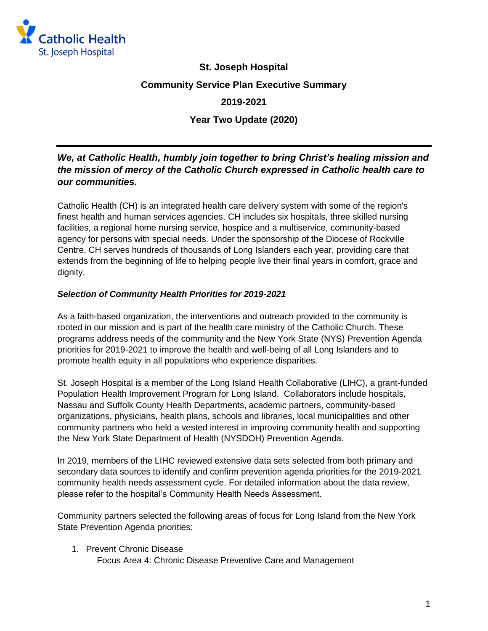

# **St. Joseph Hospital Community Service Plan Executive Summary**

# **2019-2021**

**Year Two Update (2020)**

# *We, at Catholic Health, humbly join together to bring Christ's healing mission and the mission of mercy of the Catholic Church expressed in Catholic health care to our communities.*

Catholic Health (CH) is an integrated health care delivery system with some of the region's finest health and human services agencies. CH includes six hospitals, three skilled nursing facilities, a regional home nursing service, hospice and a multiservice, community-based agency for persons with special needs. Under the sponsorship of the Diocese of Rockville Centre, CH serves hundreds of thousands of Long Islanders each year, providing care that extends from the beginning of life to helping people live their final years in comfort, grace and dignity.

## *Selection of Community Health Priorities for 2019-2021*

As a faith-based organization, the interventions and outreach provided to the community is rooted in our mission and is part of the health care ministry of the Catholic Church. These programs address needs of the community and the New York State (NYS) Prevention Agenda priorities for 2019-2021 to improve the health and well-being of all Long Islanders and to promote health equity in all populations who experience disparities.

St. Joseph Hospital is a member of the Long Island Health Collaborative (LIHC), a grant-funded Population Health Improvement Program for Long Island. Collaborators include hospitals, Nassau and Suffolk County Health Departments, academic partners, community-based organizations, physicians, health plans, schools and libraries, local municipalities and other community partners who held a vested interest in improving community health and supporting the New York State Department of Health (NYSDOH) Prevention Agenda.

In 2019, members of the LIHC reviewed extensive data sets selected from both primary and secondary data sources to identify and confirm prevention agenda priorities for the 2019-2021 community health needs assessment cycle. For detailed information about the data review, please refer to the hospital's Community Health Needs Assessment.

Community partners selected the following areas of focus for Long Island from the New York State Prevention Agenda priorities:

1. Prevent Chronic Disease

Focus Area 4: Chronic Disease Preventive Care and Management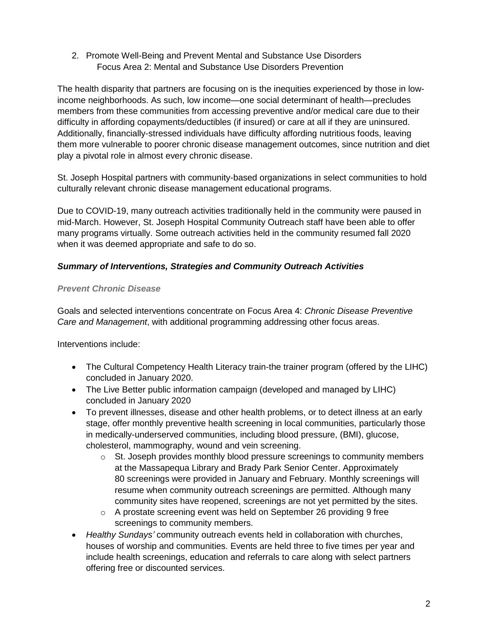2. Promote Well-Being and Prevent Mental and Substance Use Disorders Focus Area 2: Mental and Substance Use Disorders Prevention

The health disparity that partners are focusing on is the inequities experienced by those in lowincome neighborhoods. As such, low income—one social determinant of health—precludes members from these communities from accessing preventive and/or medical care due to their difficulty in affording copayments/deductibles (if insured) or care at all if they are uninsured. Additionally, financially-stressed individuals have difficulty affording nutritious foods, leaving them more vulnerable to poorer chronic disease management outcomes, since nutrition and diet play a pivotal role in almost every chronic disease.

St. Joseph Hospital partners with community-based organizations in select communities to hold culturally relevant chronic disease management educational programs.

Due to COVID-19, many outreach activities traditionally held in the community were paused in mid-March. However, St. Joseph Hospital Community Outreach staff have been able to offer many programs virtually. Some outreach activities held in the community resumed fall 2020 when it was deemed appropriate and safe to do so.

## *Summary of Interventions, Strategies and Community Outreach Activities*

## *Prevent Chronic Disease*

Goals and selected interventions concentrate on Focus Area 4: *Chronic Disease Preventive Care and Management*, with additional programming addressing other focus areas.

Interventions include:

- The Cultural Competency Health Literacy train-the trainer program (offered by the LIHC) concluded in January 2020.
- The Live Better public information campaign (developed and managed by LIHC) concluded in January 2020
- To prevent illnesses, disease and other health problems, or to detect illness at an early stage, offer monthly preventive health screening in local communities, particularly those in medically-underserved communities, including blood pressure, (BMI), glucose, cholesterol, mammography, wound and vein screening.
	- $\circ$  St. Joseph provides monthly blood pressure screenings to community members at the Massapequa Library and Brady Park Senior Center. Approximately 80 screenings were provided in January and February. Monthly screenings will resume when community outreach screenings are permitted. Although many community sites have reopened, screenings are not yet permitted by the sites.
	- o A prostate screening event was held on September 26 providing 9 free screenings to community members.
- *Healthy Sundays'* community outreach events held in collaboration with churches, houses of worship and communities. Events are held three to five times per year and include health screenings, education and referrals to care along with select partners offering free or discounted services.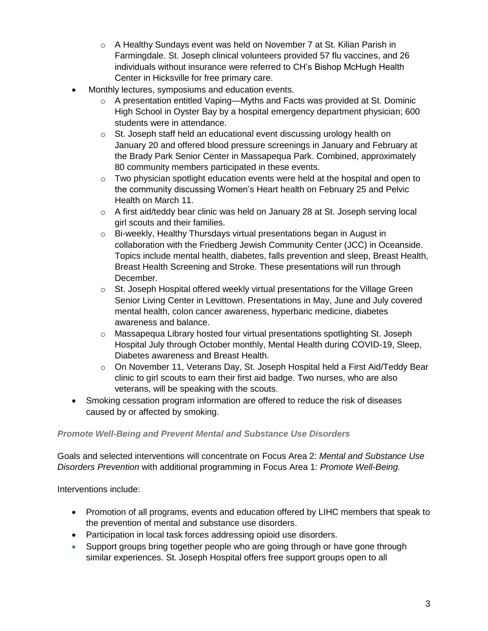- o A Healthy Sundays event was held on November 7 at St. Kilian Parish in Farmingdale. St. Joseph clinical volunteers provided 57 flu vaccines, and 26 individuals without insurance were referred to CH's Bishop McHugh Health Center in Hicksville for free primary care.
- Monthly lectures, symposiums and education events.
	- o A presentation entitled Vaping—Myths and Facts was provided at St. Dominic High School in Oyster Bay by a hospital emergency department physician; 600 students were in attendance.
	- o St. Joseph staff held an educational event discussing urology health on January 20 and offered blood pressure screenings in January and February at the Brady Park Senior Center in Massapequa Park. Combined, approximately 80 community members participated in these events.
	- $\circ$  Two physician spotlight education events were held at the hospital and open to the community discussing Women's Heart health on February 25 and Pelvic Health on March 11.
	- $\circ$  A first aid/teddy bear clinic was held on January 28 at St. Joseph serving local girl scouts and their families.
	- o Bi-weekly, Healthy Thursdays virtual presentations began in August in collaboration with the Friedberg Jewish Community Center (JCC) in Oceanside. Topics include mental health, diabetes, falls prevention and sleep, Breast Health, Breast Health Screening and Stroke. These presentations will run through December.
	- o St. Joseph Hospital offered weekly virtual presentations for the Village Green Senior Living Center in Levittown. Presentations in May, June and July covered mental health, colon cancer awareness, hyperbaric medicine, diabetes awareness and balance.
	- o Massapequa Library hosted four virtual presentations spotlighting St. Joseph Hospital July through October monthly, Mental Health during COVID-19, Sleep, Diabetes awareness and Breast Health.
	- $\circ$  On November 11, Veterans Day, St. Joseph Hospital held a First Aid/Teddy Bear clinic to girl scouts to earn their first aid badge. Two nurses, who are also veterans, will be speaking with the scouts.
- Smoking cessation program information are offered to reduce the risk of diseases caused by or affected by smoking.

#### *Promote Well-Being and Prevent Mental and Substance Use Disorders*

Goals and selected interventions will concentrate on Focus Area 2: *Mental and Substance Use Disorders Prevention* with additional programming in Focus Area 1: *Promote Well-Being.* 

Interventions include:

- Promotion of all programs, events and education offered by LIHC members that speak to the prevention of mental and substance use disorders.
- Participation in local task forces addressing opioid use disorders.
- Support groups bring together people who are going through or have gone through similar experiences. St. Joseph Hospital offers free support groups open to all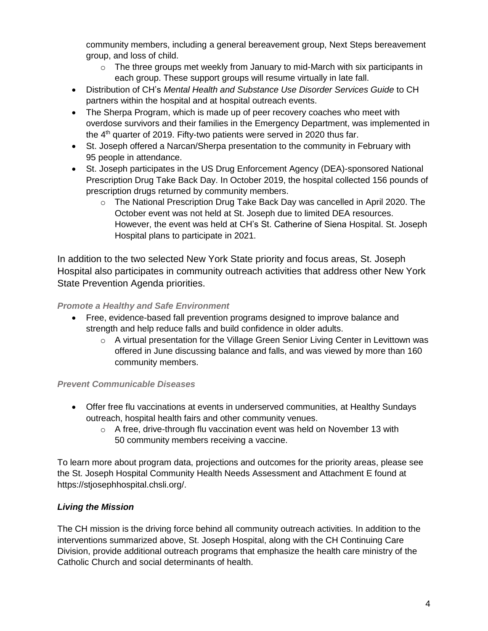community members, including a general bereavement group, Next Steps bereavement group, and loss of child.

- $\circ$  The three groups met weekly from January to mid-March with six participants in each group. These support groups will resume virtually in late fall.
- Distribution of CH's *Mental Health and Substance Use Disorder Services Guide* to CH partners within the hospital and at hospital outreach events.
- The Sherpa Program, which is made up of peer recovery coaches who meet with overdose survivors and their families in the Emergency Department, was implemented in the  $4<sup>th</sup>$  quarter of 2019. Fifty-two patients were served in 2020 thus far.
- St. Joseph offered a Narcan/Sherpa presentation to the community in February with 95 people in attendance.
- St. Joseph participates in the US Drug Enforcement Agency (DEA)-sponsored National Prescription Drug Take Back Day. In October 2019, the hospital collected 156 pounds of prescription drugs returned by community members.
	- $\circ$  The National Prescription Drug Take Back Day was cancelled in April 2020. The October event was not held at St. Joseph due to limited DEA resources. However, the event was held at CH's St. Catherine of Siena Hospital. St. Joseph Hospital plans to participate in 2021.

In addition to the two selected New York State priority and focus areas, St. Joseph Hospital also participates in community outreach activities that address other New York State Prevention Agenda priorities.

## *Promote a Healthy and Safe Environment*

- Free, evidence-based fall prevention programs designed to improve balance and strength and help reduce falls and build confidence in older adults.
	- $\circ$  A virtual presentation for the Village Green Senior Living Center in Levittown was offered in June discussing balance and falls, and was viewed by more than 160 community members.

# *Prevent Communicable Diseases*

- Offer free flu vaccinations at events in underserved communities, at Healthy Sundays outreach, hospital health fairs and other community venues.
	- o A free, drive-through flu vaccination event was held on November 13 with 50 community members receiving a vaccine.

To learn more about program data, projections and outcomes for the priority areas, please see the St. Joseph Hospital Community Health Needs Assessment and Attachment E found at https://stjosephhospital.chsli.org/.

# *Living the Mission*

The CH mission is the driving force behind all community outreach activities. In addition to the interventions summarized above, St. Joseph Hospital, along with the CH Continuing Care Division, provide additional outreach programs that emphasize the health care ministry of the Catholic Church and social determinants of health.